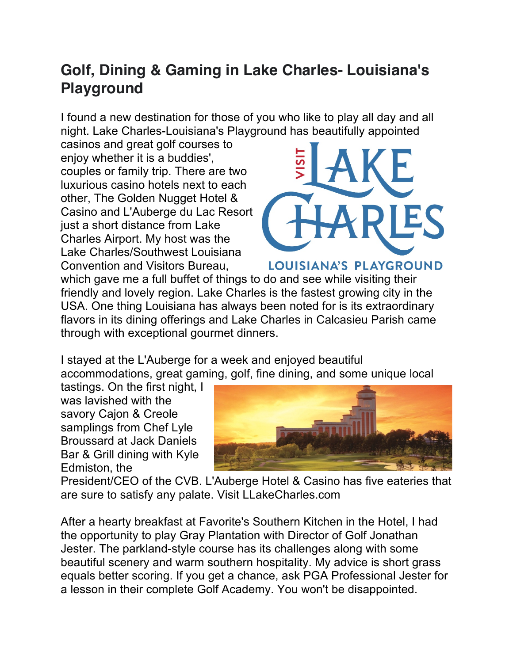## **Golf, Dining & Gaming in Lake Charles- Louisiana's Playground**

I found a new destination for those of you who like to play all day and all night. Lake Charles-Louisiana's Playground has beautifully appointed

casinos and great golf courses to enjoy whether it is a buddies', couples or family trip. There are two luxurious casino hotels next to each other, The Golden Nugget Hotel & Casino and L'Auberge du Lac Resort just a short distance from Lake Charles Airport. My host was the Lake Charles/Southwest Louisiana Convention and Visitors Bureau,



LOUISIANA'S PLAYGROUND

which gave me a full buffet of things to do and see while visiting their friendly and lovely region. Lake Charles is the fastest growing city in the USA. One thing Louisiana has always been noted for is its extraordinary flavors in its dining offerings and Lake Charles in Calcasieu Parish came through with exceptional gourmet dinners.

I stayed at the L'Auberge for a week and enjoyed beautiful accommodations, great gaming, golf, fine dining, and some unique local

tastings. On the first night, I was lavished with the savory Cajon & Creole samplings from Chef Lyle Broussard at Jack Daniels Bar & Grill dining with Kyle Edmiston, the



President/CEO of the CVB. L'Auberge Hotel & Casino has five eateries that are sure to satisfy any palate. Visit LLakeCharles.com

After a hearty breakfast at Favorite's Southern Kitchen in the Hotel, I had the opportunity to play Gray Plantation with Director of Golf Jonathan Jester. The parkland-style course has its challenges along with some beautiful scenery and warm southern hospitality. My advice is short grass equals better scoring. If you get a chance, ask PGA Professional Jester for a lesson in their complete Golf Academy. You won't be disappointed.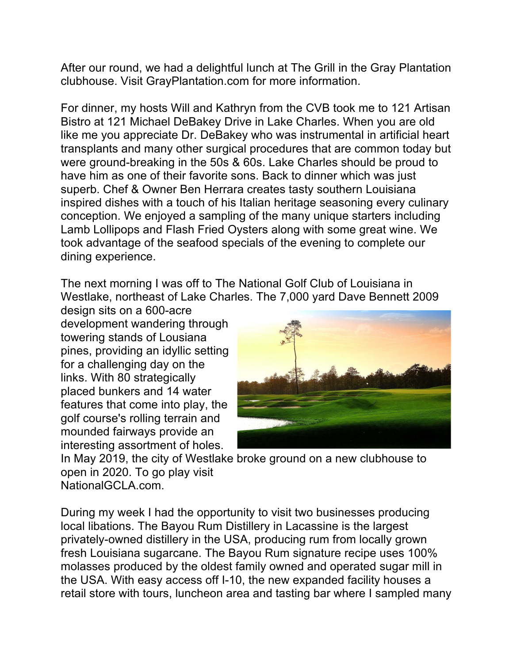After our round, we had a delightful lunch at The Grill in the Gray Plantation clubhouse. Visit GrayPlantation.com for more information.

For dinner, my hosts Will and Kathryn from the CVB took me to 121 Artisan Bistro at 121 Michael DeBakey Drive in Lake Charles. When you are old like me you appreciate Dr. DeBakey who was instrumental in artificial heart transplants and many other surgical procedures that are common today but were ground-breaking in the 50s & 60s. Lake Charles should be proud to have him as one of their favorite sons. Back to dinner which was just superb. Chef & Owner Ben Herrara creates tasty southern Louisiana inspired dishes with a touch of his Italian heritage seasoning every culinary conception. We enjoyed a sampling of the many unique starters including Lamb Lollipops and Flash Fried Oysters along with some great wine. We took advantage of the seafood specials of the evening to complete our dining experience.

The next morning I was off to The National Golf Club of Louisiana in Westlake, northeast of Lake Charles. The 7,000 yard Dave Bennett 2009

design sits on a 600-acre development wandering through towering stands of Lousiana pines, providing an idyllic setting for a challenging day on the links. With 80 strategically placed bunkers and 14 water features that come into play, the golf course's rolling terrain and mounded fairways provide an interesting assortment of holes.



In May 2019, the city of Westlake broke ground on a new clubhouse to open in 2020. To go play visit NationalGCLA.com.

During my week I had the opportunity to visit two businesses producing local libations. The Bayou Rum Distillery in Lacassine is the largest privately-owned distillery in the USA, producing rum from locally grown fresh Louisiana sugarcane. The Bayou Rum signature recipe uses 100% molasses produced by the oldest family owned and operated sugar mill in the USA. With easy access off I-10, the new expanded facility houses a retail store with tours, luncheon area and tasting bar where I sampled many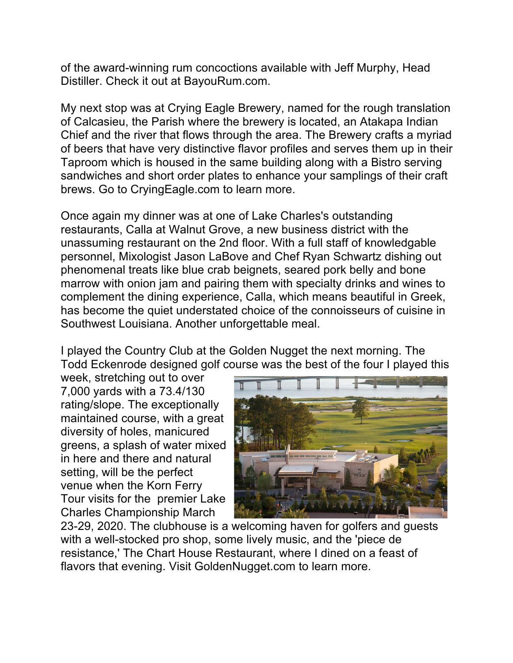of the award-winning rum concoctions available with Jeff Murphy, Head Distiller. Check it out at BayouRum.com.

My next stop was at Crying Eagle Brewery, named for the rough translation of Calcasieu, the Parish where the brewery is located, an Atakapa Indian Chief and the river that flows through the area. The Brewery crafts a myriad of beers that have very distinctive flavor profiles and serves them up in their Taproom which is housed in the same building along with a Bistro serving sandwiches and short order plates to enhance your samplings of their craft brews. Go to CryingEagle.com to learn more.

Once again my dinner was at one of Lake Charles's outstanding restaurants, Calla at Walnut Grove, a new business district with the unassuming restaurant on the 2nd floor. With a full staff of knowledgable personnel, Mixologist Jason LaBove and Chef Ryan Schwartz dishing out phenomenal treats like blue crab beignets, seared pork belly and bone marrow with onion jam and pairing them with specialty drinks and wines to complement the dining experience, Calla, which means beautiful in Greek, has become the quiet understated choice of the connoisseurs of cuisine in Southwest Louisiana. Another unforgettable meal.

I played the Country Club at the Golden Nugget the next morning. The Todd Eckenrode designed golf course was the best of the four I played this

week, stretching out to over 7,000 yards with a 73.4/130 rating/slope. The exceptionally maintained course, with a great diversity of holes, manicured greens, a splash of water mixed in here and there and natural setting, will be the perfect venue when the Korn Ferry Tour visits for the premier Lake Charles Championship March



23-29, 2020. The clubhouse is a welcoming haven for golfers and guests with a well-stocked pro shop, some lively music, and the 'piece de resistance,' The Chart House Restaurant, where I dined on a feast of flavors that evening. Visit GoldenNugget.com to learn more.